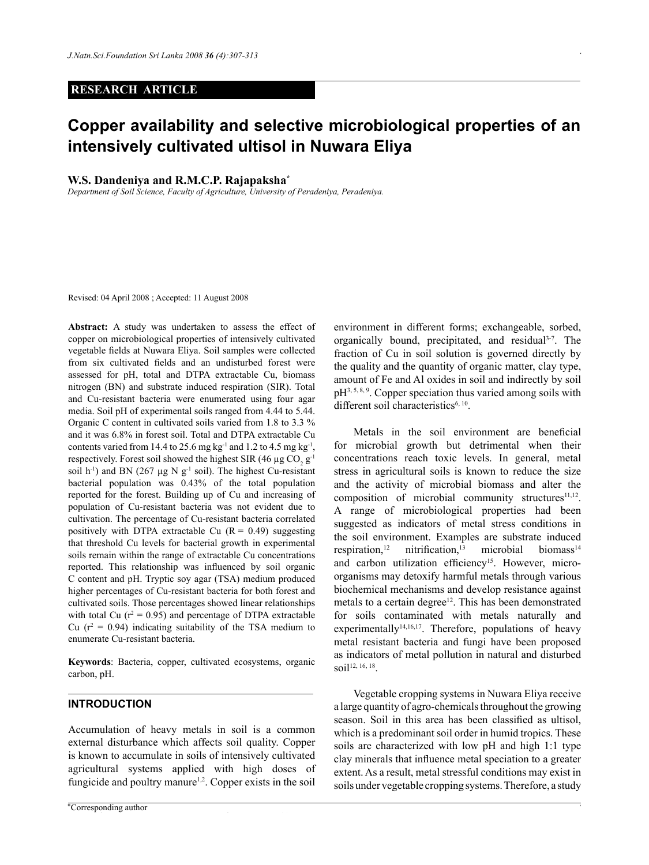## **RESEARCH ARTICLE**

# **Copper availability and selective microbiological properties of an intensively cultivated ultisol in Nuwara Eliya**

## **W.S. Dandeniya and R.M.C.P. Rajapaksha\***

*Department of Soil Science, Faculty of Agriculture, University of Peradeniya, Peradeniya.*

Revised: 04 April 2008 ; Accepted: 11 August 2008

**Abstract:** A study was undertaken to assess the effect of copper on microbiological properties of intensively cultivated vegetable fields at Nuwara Eliya. Soil samples were collected from six cultivated fields and an undisturbed forest were assessed for pH, total and DTPA extractable Cu, biomass nitrogen (BN) and substrate induced respiration (SIR). Total and Cu-resistant bacteria were enumerated using four agar media. Soil pH of experimental soils ranged from 4.44 to 5.44. Organic C content in cultivated soils varied from 1.8 to 3.3 % and it was 6.8% in forest soil. Total and DTPA extractable Cu contents varied from 14.4 to 25.6 mg kg<sup>-1</sup> and 1.2 to 4.5 mg kg<sup>-1</sup>, respectively. Forest soil showed the highest SIR (46  $\mu$ g CO<sub>2</sub> g<sup>-1</sup> soil h<sup>-1</sup>) and BN (267  $\mu$ g N g<sup>-1</sup> soil). The highest Cu-resistant bacterial population was 0.43% of the total population reported for the forest. Building up of Cu and increasing of population of Cu-resistant bacteria was not evident due to cultivation. The percentage of Cu-resistant bacteria correlated positively with DTPA extractable Cu  $(R = 0.49)$  suggesting that threshold Cu levels for bacterial growth in experimental soils remain within the range of extractable Cu concentrations reported. This relationship was influenced by soil organic C content and pH. Tryptic soy agar (TSA) medium produced higher percentages of Cu-resistant bacteria for both forest and cultivated soils. Those percentages showed linear relationships with total Cu ( $r^2 = 0.95$ ) and percentage of DTPA extractable Cu ( $r^2 = 0.94$ ) indicating suitability of the TSA medium to enumerate Cu-resistant bacteria.

**Keywords**: Bacteria, copper, cultivated ecosystems, organic carbon, pH.

## **Introduction**

Accumulation of heavy metals in soil is a common external disturbance which affects soil quality. Copper is known to accumulate in soils of intensively cultivated agricultural systems applied with high doses of fungicide and poultry manure<sup> $1,2$ </sup>. Copper exists in the soil

environment in different forms; exchangeable, sorbed, organically bound, precipitated, and residual<sup>3-7</sup>. The fraction of Cu in soil solution is governed directly by the quality and the quantity of organic matter, clay type, amount of Fe and Al oxides in soil and indirectly by soil pH3, 5, 8, 9. Copper speciation thus varied among soils with different soil characteristics $6, 10$ .

 Metals in the soil environment are beneficial for microbial growth but detrimental when their concentrations reach toxic levels. In general, metal stress in agricultural soils is known to reduce the size and the activity of microbial biomass and alter the composition of microbial community structures $11,12$ . A range of microbiological properties had been suggested as indicators of metal stress conditions in the soil environment. Examples are substrate induced respiration,<sup>12</sup> nitrification,<sup>13</sup> microbial biomass<sup>14</sup> and carbon utilization efficiency<sup>15</sup>. However, microorganisms may detoxify harmful metals through various biochemical mechanisms and develop resistance against metals to a certain degree<sup>12</sup>. This has been demonstrated for soils contaminated with metals naturally and experimentally<sup>14,16,17</sup>. Therefore, populations of heavy metal resistant bacteria and fungi have been proposed as indicators of metal pollution in natural and disturbed soil<sup>12, 16, 18</sup>.

Vegetable cropping systems in Nuwara Eliya receive a large quantity of agro-chemicals throughout the growing season. Soil in this area has been classified as ultisol, which is a predominant soil order in humid tropics. These soils are characterized with low pH and high 1:1 type clay minerals that influence metal speciation to a greater extent. As a result, metal stressful conditions may exist in soils under vegetable cropping systems. Therefore, a study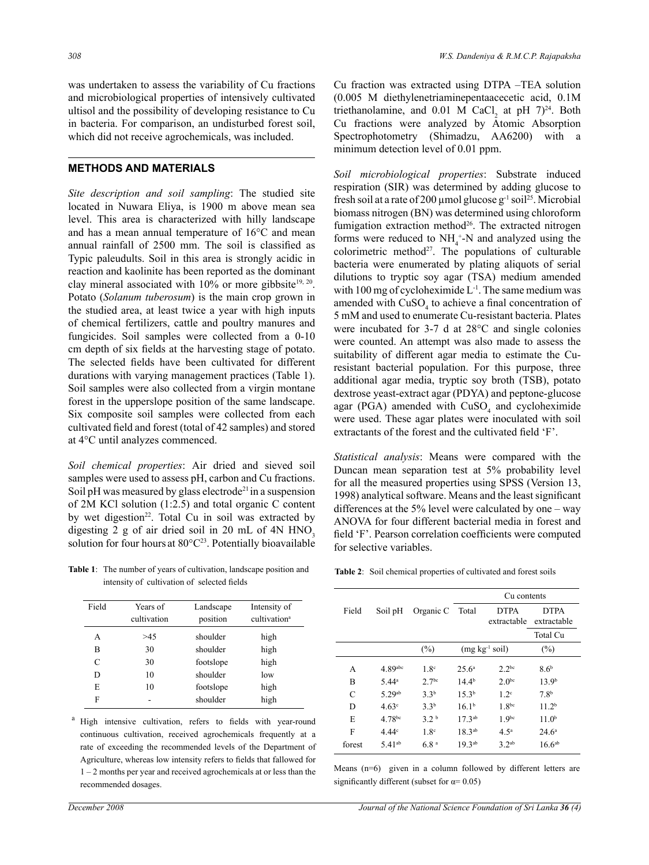was undertaken to assess the variability of Cu fractions and microbiological properties of intensively cultivated ultisol and the possibility of developing resistance to Cu in bacteria. For comparison, an undisturbed forest soil, which did not receive agrochemicals, was included.

# **Methods and Materials**

*Site description and soil sampling*: The studied site located in Nuwara Eliya, is 1900 m above mean sea level. This area is characterized with hilly landscape and has a mean annual temperature of 16°C and mean annual rainfall of 2500 mm. The soil is classified as Typic paleudults. Soil in this area is strongly acidic in reaction and kaolinite has been reported as the dominant clay mineral associated with  $10\%$  or more gibbsite<sup>19, 20</sup>. Potato (*Solanum tuberosum*) is the main crop grown in the studied area, at least twice a year with high inputs of chemical fertilizers, cattle and poultry manures and fungicides. Soil samples were collected from a 0-10 cm depth of six fields at the harvesting stage of potato. The selected fields have been cultivated for different durations with varying management practices (Table 1). Soil samples were also collected from a virgin montane forest in the upperslope position of the same landscape. Six composite soil samples were collected from each cultivated field and forest (total of 42 samples) and stored at 4°C until analyzes commenced.

*Soil chemical properties*: Air dried and sieved soil samples were used to assess pH, carbon and Cu fractions. Soil pH was measured by glass electrode<sup>21</sup> in a suspension of 2M KCl solution (1:2.5) and total organic C content by wet digestion<sup>22</sup>. Total Cu in soil was extracted by digesting  $2$  g of air dried soil in  $20$  mL of  $4N$  HNO<sub>3</sub> solution for four hours at  $80^{\circ}C^{23}$ . Potentially bioavailable

**Table 1**: The number of years of cultivation, landscape position and intensity of cultivation of selected fields

| Field | Years of<br>cultivation | Landscape<br>position | Intensity of<br>cultivation <sup>a</sup> |
|-------|-------------------------|-----------------------|------------------------------------------|
| A     | >45                     | shoulder              | high                                     |
| B     | 30                      | shoulder              | high                                     |
| C     | 30                      | footslope             | high                                     |
| D     | 10                      | shoulder              | low                                      |
| E     | 10                      | footslope             | high                                     |
| F     |                         | shoulder              | high                                     |

<sup>a</sup> High intensive cultivation, refers to fields with year-round continuous cultivation, received agrochemicals frequently at a rate of exceeding the recommended levels of the Department of Agriculture, whereas low intensity refers to fields that fallowed for 1 – 2 months per year and received agrochemicals at or less than the recommended dosages.

Cu fraction was extracted using DTPA –TEA solution (0.005 M diethylenetriaminepentaacecetic acid, 0.1M triethanolamine, and  $0.01$  M CaCl<sub>2</sub> at pH  $7)^{24}$ . Both Cu fractions were analyzed by Atomic Absorption Spectrophotometry (Shimadzu, AA6200) with a minimum detection level of 0.01 ppm.

*Soil microbiological properties*: Substrate induced respiration (SIR) was determined by adding glucose to fresh soil at a rate of 200 µmol glucose  $g^{-1}$  soil<sup>25</sup>. Microbial biomass nitrogen (BN) was determined using chloroform fumigation extraction method<sup>26</sup>. The extracted nitrogen forms were reduced to  $NH_4^+$ -N and analyzed using the colorimetric method $27$ . The populations of culturable bacteria were enumerated by plating aliquots of serial dilutions to tryptic soy agar (TSA) medium amended with 100 mg of cycloheximide  $L^{-1}$ . The same medium was amended with  $CuSO<sub>4</sub>$  to achieve a final concentration of 5 mM and used to enumerate Cu-resistant bacteria. Plates were incubated for 3-7 d at 28°C and single colonies were counted. An attempt was also made to assess the suitability of different agar media to estimate the Curesistant bacterial population. For this purpose, three additional agar media, tryptic soy broth (TSB), potato dextrose yeast-extract agar (PDYA) and peptone-glucose agar (PGA) amended with  $CuSO<sub>4</sub>$  and cycloheximide were used. These agar plates were inoculated with soil extractants of the forest and the cultivated field 'F'.

*Statistical analysis*: Means were compared with the Duncan mean separation test at 5% probability level for all the measured properties using SPSS (Version 13, 1998) analytical software. Means and the least significant differences at the 5% level were calculated by one – way ANOVA for four different bacterial media in forest and field 'F'. Pearson correlation coefficients were computed for selective variables.

**Table 2**: Soil chemical properties of cultivated and forest soils

|        |                      |                   | Cu contents        |                            |                            |
|--------|----------------------|-------------------|--------------------|----------------------------|----------------------------|
| Field  | Soil pH              | Organic C         | Total              | <b>DTPA</b><br>extractable | <b>DTPA</b><br>extractable |
|        |                      |                   |                    |                            | Total Cu                   |
|        |                      | $(\%)$            |                    | $(mg kg-1 soil)$           | $(\%)$                     |
| А      | 4.89abc              | 1.8 <sup>c</sup>  | 25.6 <sup>a</sup>  | 2.2 <sup>bc</sup>          | 8.6 <sup>b</sup>           |
| В      | $5.44^a$             | 2.7 <sup>bc</sup> | $14.4^{b}$         | 2.0 <sup>bc</sup>          | 13.9 <sup>b</sup>          |
| C      | $5.29^{ab}$          | 3.3 <sup>b</sup>  | $15.3^{b}$         | 1.2 <sup>c</sup>           | 7.8 <sup>b</sup>           |
| D      | 4.63 <sup>c</sup>    | 3.3 <sup>b</sup>  | 16.1 <sup>b</sup>  | 1.8 <sup>bc</sup>          | 11.2 <sup>b</sup>          |
| E      | 4.78bc               | 3.2 <sup>b</sup>  | 17.3 <sup>ab</sup> | 1.9 <sup>bc</sup>          | 11.0 <sup>b</sup>          |
| F      | 4.44 <sup>c</sup>    | 1.8 <sup>c</sup>  | $18.3^{ab}$        | 4.5 <sup>a</sup>           | $24.6^{\circ}$             |
| forest | $5.41$ <sup>ab</sup> | 6.8 <sup>a</sup>  | 19.3 <sup>ab</sup> | 3.2 <sup>ab</sup>          | 16.6 <sup>ab</sup>         |

Means (n=6) given in a column followed by different letters are significantly different (subset for  $\alpha$ = 0.05)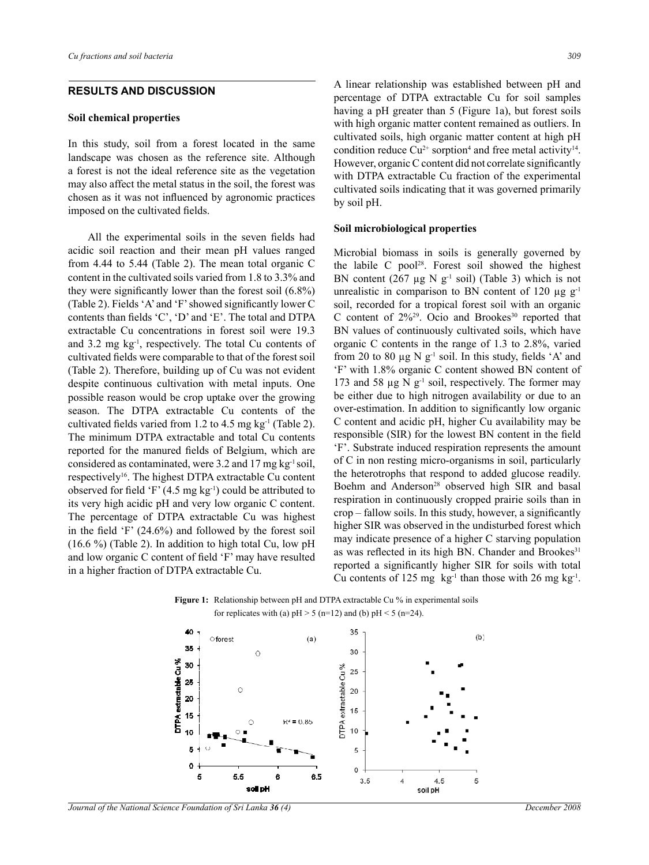## **Results and Discussion**

#### **Soil chemical properties**

In this study, soil from a forest located in the same landscape was chosen as the reference site. Although a forest is not the ideal reference site as the vegetation may also affect the metal status in the soil, the forest was chosen as it was not influenced by agronomic practices imposed on the cultivated fields.

 All the experimental soils in the seven fields had acidic soil reaction and their mean pH values ranged from 4.44 to 5.44 (Table 2). The mean total organic C content in the cultivated soils varied from 1.8 to 3.3% and they were significantly lower than the forest soil (6.8%) (Table 2). Fields 'A' and 'F'showed significantly lower C contents than fields 'C', 'D' and 'E'. The total and DTPA extractable Cu concentrations in forest soil were 19.3 and 3.2 mg kg-1, respectively. The total Cu contents of cultivated fields were comparable to that of the forest soil (Table 2). Therefore, building up of Cu was not evident despite continuous cultivation with metal inputs. One possible reason would be crop uptake over the growing season. The DTPA extractable Cu contents of the cultivated fields varied from 1.2 to 4.5 mg kg<sup>-1</sup> (Table 2). The minimum DTPA extractable and total Cu contents reported for the manured fields of Belgium, which are considered as contaminated, were  $3.2$  and  $17 \text{ mg kg}^{-1}$  soil, respectively16. The highest DTPA extractable Cu content observed for field 'F'  $(4.5 \text{ mg kg}^{-1})$  could be attributed to its very high acidic pH and very low organic C content. The percentage of DTPA extractable Cu was highest in the field 'F' (24.6%) and followed by the forest soil (16.6 %) (Table 2). In addition to high total Cu, low pH and low organic C content of field 'F' may have resulted in a higher fraction of DTPA extractable Cu.

A linear relationship was established between pH and percentage of DTPA extractable Cu for soil samples having a pH greater than 5 (Figure 1a), but forest soils with high organic matter content remained as outliers. In cultivated soils, high organic matter content at high pH condition reduce  $Cu^{2+}$  sorption<sup>4</sup> and free metal activity<sup>14</sup>. However, organic C content did not correlate significantly with DTPA extractable Cu fraction of the experimental cultivated soils indicating that it was governed primarily by soil pH.

#### **Soil microbiological properties**

Microbial biomass in soils is generally governed by the labile C pool<sup>28</sup>. Forest soil showed the highest BN content (267  $\mu$ g N g<sup>-1</sup> soil) (Table 3) which is not unrealistic in comparison to BN content of 120  $\mu$ g g<sup>-1</sup> soil, recorded for a tropical forest soil with an organic C content of  $2\frac{9}{29}$ . Ocio and Brookes<sup>30</sup> reported that BN values of continuously cultivated soils, which have organic C contents in the range of 1.3 to 2.8%, varied from 20 to 80  $\mu$ g N g<sup>-1</sup> soil. In this study, fields 'A' and 'F' with 1.8% organic C content showed BN content of 173 and 58  $\mu$ g N g<sup>-1</sup> soil, respectively. The former may be either due to high nitrogen availability or due to an over-estimation. In addition to significantly low organic C content and acidic pH, higher Cu availability may be responsible (SIR) for the lowest BN content in the field 'F'. Substrate induced respiration represents the amount of C in non resting micro-organisms in soil, particularly the heterotrophs that respond to added glucose readily. Boehm and Anderson<sup>28</sup> observed high SIR and basal respiration in continuously cropped prairie soils than in crop – fallow soils. In this study, however, a significantly higher SIR was observed in the undisturbed forest which may indicate presence of a higher C starving population as was reflected in its high BN. Chander and Brookes<sup>31</sup> reported a significantly higher SIR for soils with total Cu contents of 125 mg  $kg^{-1}$  than those with 26 mg kg<sup>-1</sup>.





*Journal of the National Science Foundation of Sri Lanka 36 (4) December 2008*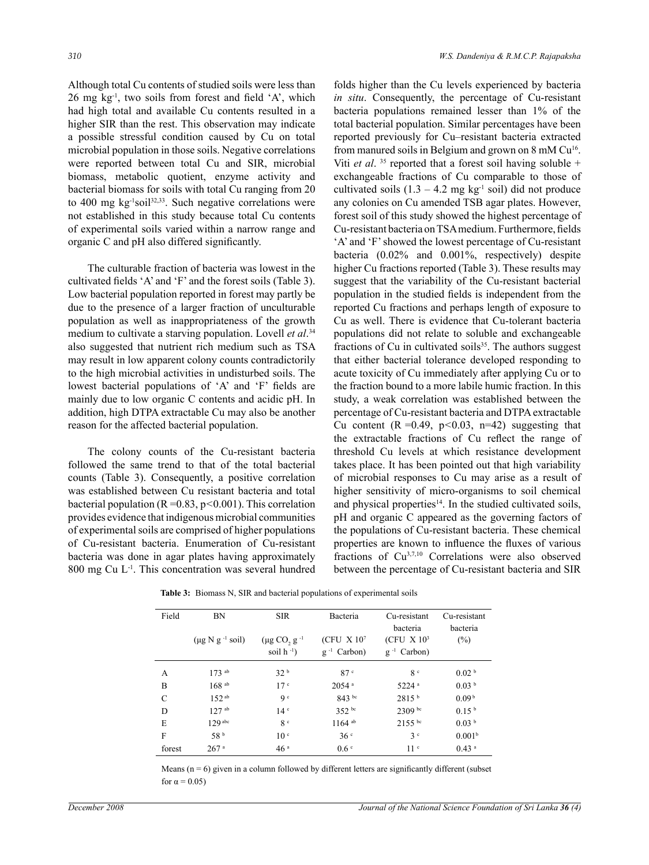Although total Cu contents of studied soils were less than  $26$  mg kg<sup>-1</sup>, two soils from forest and field  $A$ , which had high total and available Cu contents resulted in a higher SIR than the rest. This observation may indicate a possible stressful condition caused by Cu on total microbial population in those soils. Negative correlations were reported between total Cu and SIR, microbial biomass, metabolic quotient, enzyme activity and bacterial biomass for soils with total Cu ranging from 20 to 400 mg kg<sup>-1</sup>soil<sup>32,33</sup>. Such negative correlations were not established in this study because total Cu contents of experimental soils varied within a narrow range and organic C and pH also differed significantly.

The culturable fraction of bacteria was lowest in the cultivated fields 'A' and 'F' and the forest soils (Table 3). Low bacterial population reported in forest may partly be due to the presence of a larger fraction of unculturable population as well as inappropriateness of the growth medium to cultivate a starving population. Lovell *et al*. 34 also suggested that nutrient rich medium such as TSA may result in low apparent colony counts contradictorily to the high microbial activities in undisturbed soils. The lowest bacterial populations of 'A' and 'F' fields are mainly due to low organic C contents and acidic pH. In addition, high DTPA extractable Cu may also be another reason for the affected bacterial population.

The colony counts of the Cu-resistant bacteria followed the same trend to that of the total bacterial counts (Table 3). Consequently, a positive correlation was established between Cu resistant bacteria and total bacterial population (R =0.83, p*<*0.001). This correlation provides evidence that indigenous microbial communities of experimental soils are comprised of higher populations of Cu-resistant bacteria. Enumeration of Cu-resistant bacteria was done in agar plates having approximately 800 mg Cu L-1. This concentration was several hundred folds higher than the Cu levels experienced by bacteria *in situ*. Consequently, the percentage of Cu-resistant bacteria populations remained lesser than 1% of the total bacterial population. Similar percentages have been reported previously for Cu–resistant bacteria extracted from manured soils in Belgium and grown on 8 mM Cu<sup>16</sup>. Viti *et al.* <sup>35</sup> reported that a forest soil having soluble + exchangeable fractions of Cu comparable to those of cultivated soils  $(1.3 - 4.2 \text{ mg kg}^{-1} \text{ soil})$  did not produce any colonies on Cu amended TSB agar plates. However, forest soil of this study showed the highest percentage of Cu-resistant bacteria onTSAmedium. Furthermore, fields 'A' and 'F' showed the lowest percentage of Cu-resistant bacteria (0.02% and 0.001%, respectively) despite higher Cu fractions reported (Table 3). These results may suggest that the variability of the Cu-resistant bacterial population in the studied fields is independent from the reported Cu fractions and perhaps length of exposure to Cu as well. There is evidence that Cu-tolerant bacteria populations did not relate to soluble and exchangeable fractions of Cu in cultivated soils<sup>35</sup>. The authors suggest that either bacterial tolerance developed responding to acute toxicity of Cu immediately after applying Cu or to the fraction bound to a more labile humic fraction. In this study, a weak correlation was established between the percentage of Cu-resistant bacteria and DTPA extractable Cu content  $(R = 0.49, p < 0.03, n = 42)$  suggesting that the extractable fractions of Cu reflect the range of threshold Cu levels at which resistance development takes place. It has been pointed out that high variability of microbial responses to Cu may arise as a result of higher sensitivity of micro-organisms to soil chemical and physical properties<sup>14</sup>. In the studied cultivated soils, pH and organic C appeared as the governing factors of the populations of Cu-resistant bacteria. These chemical properties are known to influence the fluxes of various fractions of Cu3,7,10 Correlations were also observed between the percentage of Cu-resistant bacteria and SIR

**Table 3:** Biomass N, SIR and bacterial populations of experimental soils

| Field  | <b>BN</b>                       | <b>SIR</b>                              | Bacteria                                     | Cu-resistant<br>bacteria                     | Cu-resistant<br>bacteria |
|--------|---------------------------------|-----------------------------------------|----------------------------------------------|----------------------------------------------|--------------------------|
|        | $(\mu g N g^{-1} \text{ soil})$ | $(\mu g CO, g^{-1})$<br>soil $h^{-1}$ ) | (CFU X 10 <sup>7</sup> )<br>$g^{-1}$ Carbon) | (CFU X 10 <sup>3</sup> )<br>$g^{-1}$ Carbon) | $(\% )$                  |
| A      | $173$ ab                        | 32 <sup>b</sup>                         | 87 <sup>c</sup>                              | 8 <sup>c</sup>                               | 0.02 <sup>b</sup>        |
| B      | $168$ <sup>ab</sup>             | 17 <sup>c</sup>                         | $20.54$ <sup>a</sup>                         | $5224$ <sup>a</sup>                          | 0.03 <sup>b</sup>        |
| C      | 152 <sup>ab</sup>               | q c                                     | 843 bc                                       | 2815 <sup>b</sup>                            | 0.09 <sup>b</sup>        |
| D      | $127$ ab                        | 14 <sup>c</sup>                         | $352$ bc                                     | 2309 bc                                      | 0.15 <sup>b</sup>        |
| E      | $129$ abc                       | 8 <sup>c</sup>                          | $1164$ ab                                    | $2155$ bc                                    | 0.03 <sup>b</sup>        |
| F      | 58 <sup>b</sup>                 | 10 <sup>°</sup>                         | 36 <sup>c</sup>                              | 3 <sup>c</sup>                               | 0.001 <sup>b</sup>       |
| forest | 267 <sup>a</sup>                | 46 <sup>a</sup>                         | 0.6 <sup>c</sup>                             | 11 <sup>c</sup>                              | $0.43$ <sup>a</sup>      |

Means  $(n = 6)$  given in a column followed by different letters are significantly different (subset for  $\alpha = 0.05$ )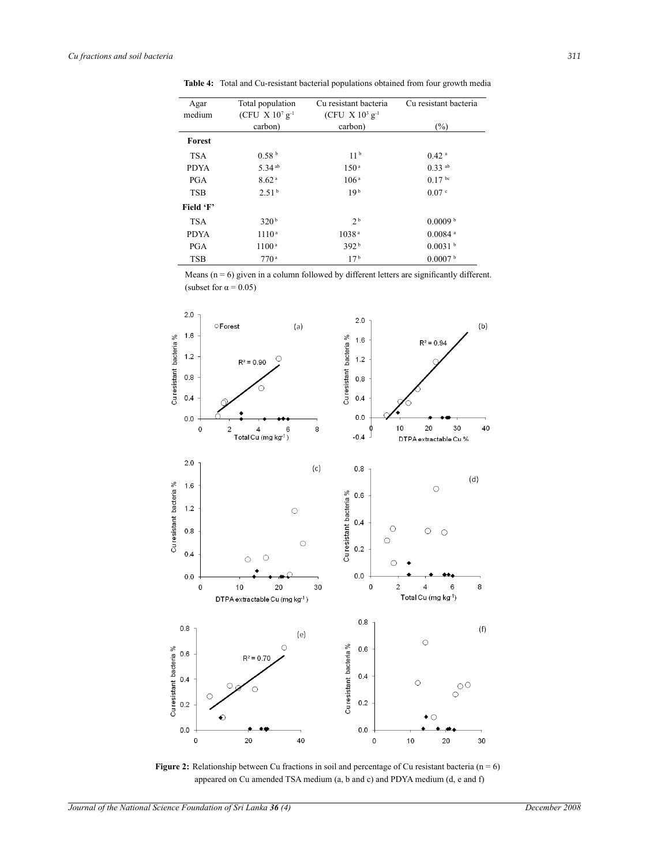| Agar        | Total population              | Cu resistant bacteria         | Cu resistant bacteria |
|-------------|-------------------------------|-------------------------------|-----------------------|
| medium      | (CFU X $10^7$ g <sup>-1</sup> | (CFU X $10^3$ g <sup>-1</sup> |                       |
|             | carbon)                       | carbon)                       | $(\%)$                |
| Forest      |                               |                               |                       |
| <b>TSA</b>  | 0.58 <sup>b</sup>             | 11 <sup>b</sup>               | $0.42$ <sup>a</sup>   |
| <b>PDYA</b> | 5.34 <sup>ab</sup>            | 150 <sup>a</sup>              | $0.33$ <sup>ab</sup>  |
| <b>PGA</b>  | 8.62 <sup>a</sup>             | 106 <sup>a</sup>              | 0.17 <sup>bc</sup>    |
| <b>TSB</b>  | 2.51 <sup>b</sup>             | 19 <sup>b</sup>               | 0.07 <sup>c</sup>     |
| Field 'F'   |                               |                               |                       |
| <b>TSA</b>  | 320 <sup>b</sup>              | 2 <sup>b</sup>                | 0.0009 <sup>b</sup>   |
| <b>PDYA</b> | 1110 <sup>a</sup>             | 1038 <sup>a</sup>             | $0.0084$ <sup>a</sup> |
| <b>PGA</b>  | 1100 <sup>a</sup>             | 392 <sup>b</sup>              | 0.0031 <sup>b</sup>   |
| <b>TSB</b>  | 770 <sup>a</sup>              | 17 <sup>b</sup>               | 0.0007 <sup>b</sup>   |

**Table 4:** Total and Cu-resistant bacterial populations obtained from four growth media

Means  $(n = 6)$  given in a column followed by different letters are significantly different. (subset for  $\alpha = 0.05$ )



**Figure 2:** Relationship between Cu fractions in soil and percentage of Cu resistant bacteria (n = 6) appeared on Cu amended TSA medium (a, b and c) and PDYA medium (d, e and f)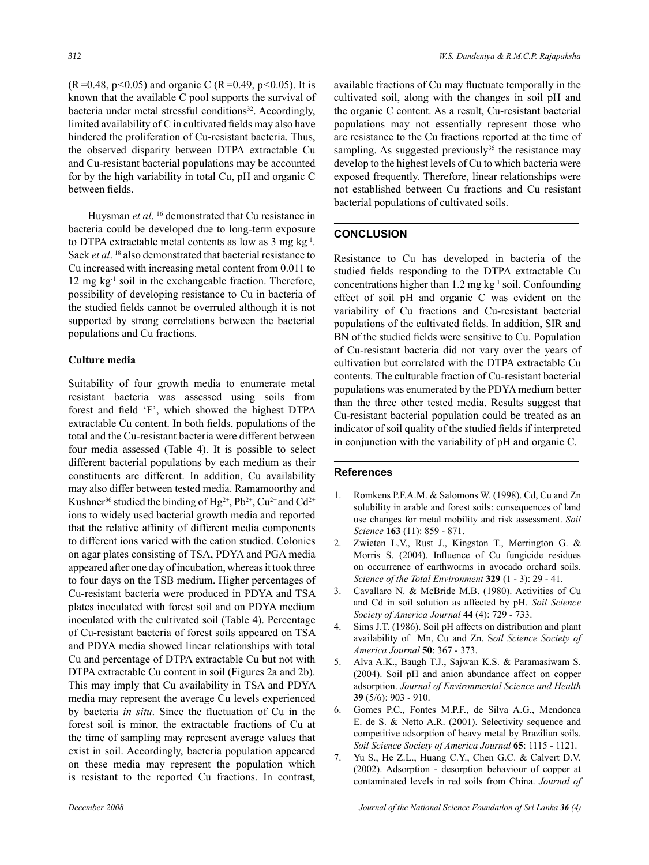(R=0.48, p*<*0.05) and organic C (R=0.49, p*<*0.05). It is known that the available C pool supports the survival of bacteria under metal stressful conditions<sup>32</sup>. Accordingly, limited availability of C in cultivated fields may also have hindered the proliferation of Cu-resistant bacteria. Thus, the observed disparity between DTPA extractable Cu and Cu-resistant bacterial populations may be accounted for by the high variability in total Cu, pH and organic C between fields.

Huysman et al.<sup>16</sup> demonstrated that Cu resistance in bacteria could be developed due to long-term exposure to DTPA extractable metal contents as low as 3 mg kg-1. Saek *et al.* <sup>18</sup> also demonstrated that bacterial resistance to Cu increased with increasing metal content from 0.011 to 12 mg kg<sup>-1</sup> soil in the exchangeable fraction. Therefore, possibility of developing resistance to Cu in bacteria of the studied fields cannot be overruled although it is not supported by strong correlations between the bacterial populations and Cu fractions.

# **Culture media**

Suitability of four growth media to enumerate metal resistant bacteria was assessed using soils from forest and field 'F', which showed the highest DTPA extractable Cu content. In both fields, populations of the total and the Cu-resistant bacteria were different between four media assessed (Table 4). It is possible to select different bacterial populations by each medium as their constituents are different. In addition, Cu availability may also differ between tested media. Ramamoorthy and Kushner<sup>36</sup> studied the binding of Hg<sup>2+</sup>, Pb<sup>2+</sup>, Cu<sup>2+</sup> and Cd<sup>2+</sup> ions to widely used bacterial growth media and reported that the relative affinity of different media components to different ions varied with the cation studied. Colonies on agar plates consisting of TSA, PDYA and PGA media appeared after one day of incubation, whereas it took three to four days on the TSB medium. Higher percentages of Cu-resistant bacteria were produced in PDYA and TSA plates inoculated with forest soil and on PDYA medium inoculated with the cultivated soil (Table 4). Percentage of Cu-resistant bacteria of forest soils appeared on TSA and PDYA media showed linear relationships with total Cu and percentage of DTPA extractable Cu but not with DTPA extractable Cu content in soil (Figures 2a and 2b). This may imply that Cu availability in TSA and PDYA media may represent the average Cu levels experienced by bacteria *in situ*. Since the fluctuation of Cu in the forest soil is minor, the extractable fractions of Cu at the time of sampling may represent average values that exist in soil. Accordingly, bacteria population appeared on these media may represent the population which is resistant to the reported Cu fractions. In contrast,

available fractions of Cu may fluctuate temporally in the cultivated soil, along with the changes in soil pH and the organic C content. As a result, Cu-resistant bacterial populations may not essentially represent those who are resistance to the Cu fractions reported at the time of sampling. As suggested previously<sup>35</sup> the resistance may develop to the highest levels of Cu to which bacteria were exposed frequently. Therefore, linear relationships were not established between Cu fractions and Cu resistant bacterial populations of cultivated soils.

# **Conclusion**

Resistance to Cu has developed in bacteria of the studied fields responding to the DTPA extractable Cu concentrations higher than 1.2 mg kg-1 soil. Confounding effect of soil pH and organic C was evident on the variability of Cu fractions and Cu-resistant bacterial populations of the cultivated fields. In addition, SIR and BN of the studied fields were sensitive to Cu. Population of Cu-resistant bacteria did not vary over the years of cultivation but correlated with the DTPA extractable Cu contents. The culturable fraction of Cu-resistant bacterial populations was enumerated by the PDYA medium better than the three other tested media. Results suggest that Cu-resistant bacterial population could be treated as an indicator of soil quality of the studied fields if interpreted in conjunction with the variability of pH and organic C.

# **References**

- 1. Romkens P.F.A.M. & Salomons W. (1998). Cd, Cu and Zn solubility in arable and forest soils: consequences of land use changes for metal mobility and risk assessment. *Soil Science* **163** (11): 859 - 871.
- 2. Zwieten L.V., Rust J., Kingston T., Merrington G. & Morris S. (2004). Influence of Cu fungicide residues on occurrence of earthworms in avocado orchard soils. *Science of the Total Environment* **329** (1 - 3): 29 - 41.
- 3. Cavallaro N. & McBride M.B. (1980). Activities of Cu and Cd in soil solution as affected by pH. *Soil Science Society of America Journal* **44** (4): 729 - 733.
- 4. Sims J.T. (1986). Soil pH affects on distribution and plant availability of Mn, Cu and Zn. S*oil Science Society of America Journal* **50**: 367 - 373.
- 5. Alva A.K., Baugh T.J., Sajwan K.S. & Paramasiwam S. (2004). Soil pH and anion abundance affect on copper adsorption. *Journal of Environmental Science and Health*  **39** (5/6): 903 - 910.
- 6. Gomes P.C., Fontes M.P.F., de Silva A.G., Mendonca E. de S. & Netto A.R. (2001). Selectivity sequence and competitive adsorption of heavy metal by Brazilian soils. *Soil Science Society of America Journal* **65**: 1115 - 1121.
- 7. Yu S., He Z.L., Huang C.Y., Chen G.C. & Calvert D.V. (2002). Adsorption - desorption behaviour of copper at contaminated levels in red soils from China. *Journal of*